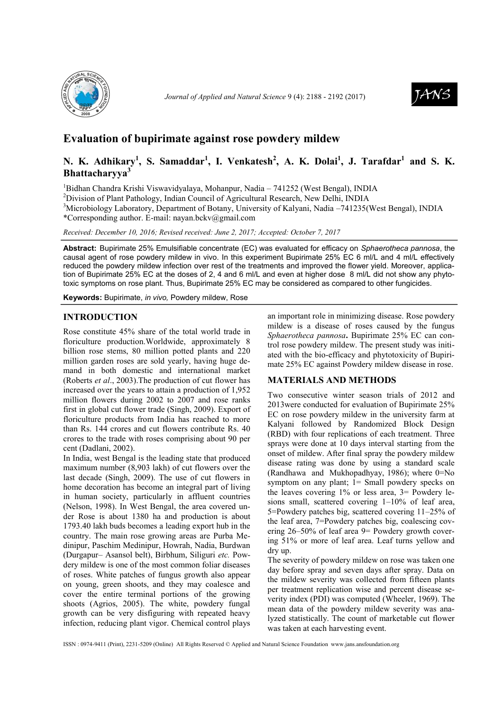

*Journal of Applied and Natural Science* 9 (4): 2188 - 2192 (2017)



# **Evaluation of bupirimate against rose powdery mildew**

# **N. K. Adhikary<sup>1</sup> , S. Samaddar<sup>1</sup> , I. Venkatesh<sup>2</sup> , A. K. Dolai<sup>1</sup> , J. Tarafdar<sup>1</sup> and S. K. Bhattacharyya<sup>3</sup>**

<sup>1</sup>Bidhan Chandra Krishi Viswavidyalaya, Mohanpur, Nadia – 741252 (West Bengal), INDIA

<sup>2</sup>Division of Plant Pathology, Indian Council of Agricultural Research, New Delhi, INDIA

<sup>3</sup>Microbiology Laboratory, Department of Botany, University of Kalyani, Nadia –741235(West Bengal), INDIA \*Corresponding author. E-mail: nayan.bckv@gmail.com

*Received: December 10, 2016; Revised received: June 2, 2017; Accepted: October 7, 2017*

**Abstract:** Bupirimate 25% Emulsifiable concentrate (EC) was evaluated for efficacy on *Sphaerotheca pannosa*, the causal agent of rose powdery mildew in vivo. In this experiment Bupirimate 25% EC 6 ml/L and 4 ml/L effectively reduced the powdery mildew infection over rest of the treatments and improved the flower yield. Moreover, application of Bupirimate 25% EC at the doses of 2, 4 and 6 ml/L and even at higher dose 8 ml/L did not show any phytotoxic symptoms on rose plant. Thus, Bupirimate 25% EC may be considered as compared to other fungicides.

**Keywords:** Bupirimate, *in vivo,* Powdery mildew, Rose

### **INTRODUCTION**

Rose constitute 45% share of the total world trade in floriculture production.Worldwide, approximately 8 billion rose stems, 80 million potted plants and 220 million garden roses are sold yearly, having huge demand in both domestic and international market (Roberts *et al*., 2003).The production of cut flower has increased over the years to attain a production of 1,952 million flowers during 2002 to 2007 and rose ranks first in global cut flower trade (Singh, 2009). Export of floriculture products from India has reached to more than Rs. 144 crores and cut flowers contribute Rs. 40 crores to the trade with roses comprising about 90 per cent (Dadlani, 2002).

In India, west Bengal is the leading state that produced maximum number (8,903 lakh) of cut flowers over the last decade (Singh, 2009). The use of cut flowers in home decoration has become an integral part of living in human society, particularly in affluent countries (Nelson, 1998). In West Bengal, the area covered under Rose is about 1380 ha and production is about 1793.40 lakh buds becomes a leading export hub in the country. The main rose growing areas are Purba Medinipur, Paschim Medinipur, Howrah, Nadia, Burdwan (Durgapur– Asansol belt), Birbhum, Siliguri *etc.* Powdery mildew is one of the most common foliar diseases of roses. White patches of fungus growth also appear on young, green shoots, and they may coalesce and cover the entire terminal portions of the growing shoots (Agrios, 2005). The white, powdery fungal growth can be very disfiguring with repeated heavy infection, reducing plant vigor. Chemical control plays an important role in minimizing disease. Rose powdery mildew is a disease of roses caused by the fungus *Sphaerotheca pannosa***.** Bupirimate 25% EC can control rose powdery mildew. The present study was initiated with the bio-efficacy and phytotoxicity of Bupirimate 25% EC against Powdery mildew disease in rose.

### **MATERIALS AND METHODS**

Two consecutive winter season trials of 2012 and 2013were conducted for evaluation of Bupirimate 25% EC on rose powdery mildew in the university farm at Kalyani followed by Randomized Block Design (RBD) with four replications of each treatment. Three sprays were done at 10 days interval starting from the onset of mildew. After final spray the powdery mildew disease rating was done by using a standard scale [\(Randhawa](https://www.sapnaonline.com/shop/Author/gs-randhawa) and [Mukhopadhyay,](https://www.sapnaonline.com/shop/Author/a-mukhopadhyay) 1986); where 0=No symptom on any plant; 1= Small powdery specks on the leaves covering 1% or less area, 3= Powdery lesions small, scattered covering 1–10% of leaf area, 5=Powdery patches big, scattered covering 11–25% of the leaf area, 7=Powdery patches big, coalescing covering 26–50% of leaf area 9= Powdery growth covering 51% or more of leaf area. Leaf turns yellow and dry up.

The severity of powdery mildew on rose was taken one day before spray and seven days after spray. Data on the mildew severity was collected from fifteen plants per treatment replication wise and percent disease severity index (PDI) was computed (Wheeler, 1969). The mean data of the powdery mildew severity was analyzed statistically. The count of marketable cut flower was taken at each harvesting event.

ISSN : 0974-9411 (Print), 2231-5209 (Online) All Rights Reserved © Applied and Natural Science Foundation www.jans.ansfoundation.org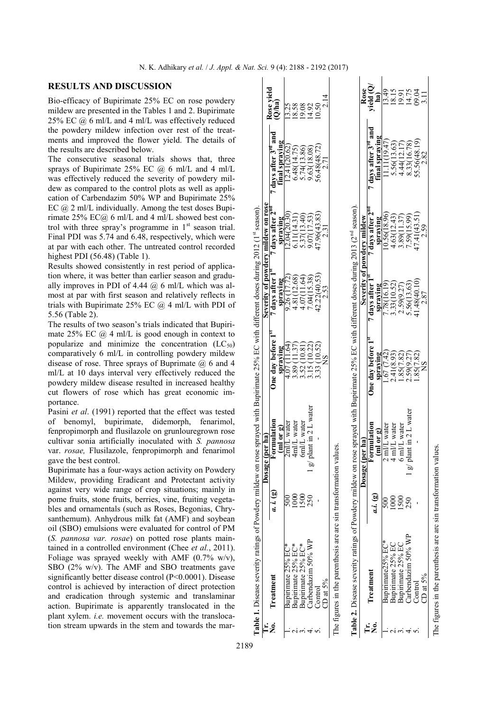## **RESULTS AND DISCUSSION**

Bio-efficacy of Bupirimate 25% EC on rose powdery mildew are presented in the Tables 1 and 2. Bupirimate 25% EC @ 6 ml/L and 4 ml/L was effectively reduced the powdery mildew infection over rest of the treatments and improved the flower yield. The details of the results are described below.

The consecutive seasonal trials shows that, three sprays of Bupirimate 25% EC  $(a)$  6 ml/L and 4 ml/L was effectively reduced the severity of powdery mildew as compared to the control plots as well as application of Carbendazim 50% WP and Bupirimate 25% EC @ 2 ml/L individually. Among the test doses Bupirimate 25%  $EC(a)$  6 ml/L and 4 ml/L showed best control with three spray's programme in  $1<sup>st</sup>$  season trial. Final PDI was 5.74 and 6.48, respectively, which were at par with each other. The untreated control recorded highest PDI (56.48) (Table 1).

Results showed consistently in rest period of application where, it was better than earlier season and gradually improves in PDI of 4.44  $(a)$  6 ml/L which was almost at par with first season and relatively reflects in trials with Bupirimate 25% EC  $@$  4 ml/L with PDI of 5.56 (Table 2).

The results of two season's trials indicated that Bupirimate 25% EC  $\omega$  4 ml/L is good enough in context to popularize and minimize the concentration  $(LC_{50})$ comparatively 6 ml/L in controlling powdery mildew disease of rose. Three sprays of Buprimate @ 6 and 4 ml/L at 10 days interval very effectively reduced the powdery mildew disease resulted in increased healthy cut flowers of rose which has great economic importance.

Pasini *et al*. (1991) reported that the effect was tested of benomyl, bupirimate, didemorph, fenarimol, fenpropimorph and flusilazole on grunlouregrown rose cultivar sonia artificially inoculated with *S. pannosa*  var. *rosae,* Flusilazole, fenpropimorph and fenarimol gave the best control.

Bupirimate has a four-ways action activity on Powdery Mildew, providing Eradicant and Protectant activity against very wide range of crop situations; mainly in pome fruits, stone fruits, berries, vine, fruiting vegetables and ornamentals (such as Roses, Begonias, Chrysanthemum). Anhydrous milk fat (AMF) and soybean oil (SBO) emulsions were evaluated for control of PM (*S. pannosa var. rosae*) on potted rose plants maintained in a controlled environment (Chee *et al.*, 2011). Foliage was sprayed weekly with AMF  $(0.7\% \text{ w/v})$ , SBO (2% w/v). The AMF and SBO treatments gave significantly better disease control (P<0.0001). Disease control is achieved by interaction of direct protection and eradication through systemic and translaminar action. Bupirimate is apparently translocated in the plant xylem. *i.e.* movement occurs with the translocation stream upwards in the stem and towards the mar-

|        | Table 1. Disease severity ratings of Powdery mildew on rose                                                                                                                                                                       |           |                                              | sprayed with Bupirimate 25% EC with different doses during 2012 (1st season) |                                    |                              |                                |                           |
|--------|-----------------------------------------------------------------------------------------------------------------------------------------------------------------------------------------------------------------------------------|-----------|----------------------------------------------|------------------------------------------------------------------------------|------------------------------------|------------------------------|--------------------------------|---------------------------|
|        |                                                                                                                                                                                                                                   |           | er ha<br>Dosage (po                          |                                                                              | Severity of powdery mildew on rose |                              |                                |                           |
| ż      | Treatment                                                                                                                                                                                                                         | a. i. (g) | Formulation                                  | Jne day before 1                                                             | 7 days after 1 <sup>8</sup>        | days after 2 <sup>m</sup>    | days after 3 <sup>rd</sup> and | Rose vield<br>$(Q$ ha $)$ |
|        |                                                                                                                                                                                                                                   |           |                                              | spraying                                                                     | spraying                           | spraving                     | final spraying                 |                           |
|        | Bupirimate 25% EC*                                                                                                                                                                                                                |           | $\frac{(\text{m1 or g})}{2\text{m/L water}}$ | 4.07(                                                                        | 9.26 (17.72)                       | 12.04(20.30)                 | (2.41(20.62)                   | 13.25                     |
|        | Bupirimate 25% EC*                                                                                                                                                                                                                | 80        | 4ml/L water                                  | 11.37<br>3.89(                                                               |                                    | 6.11(14.31)                  | 6.48(14.75)                    |                           |
|        | Bupirimate 25% EC*                                                                                                                                                                                                                | 500       | 6ml/L water                                  | 10.81                                                                        | $4.81(12.68)$<br>$4.07(11.64)$     | 5.37(13.40)                  | 5.74(13.86)                    | 18.58<br>19.92            |
|        | Carbendazim 50% WP                                                                                                                                                                                                                | 250       | $g$ plant in 2 L water                       | (10.22)<br>3.52(                                                             | 0.04(15.38)                        | 9.07(17.53)                  | 9.63(18.08)                    |                           |
|        | $_{\rm Control}$                                                                                                                                                                                                                  |           |                                              | 33 (10.52)                                                                   | 42.22(40.53)                       | 47.96(43.83)                 | $56.48(48.72)$<br>$2.71$       | 0.50                      |
|        | CD at $5\%$                                                                                                                                                                                                                       |           |                                              |                                                                              | 2.53                               | 231                          |                                |                           |
|        | <b>Table 2.</b> Disease severity ratings of Powdery mildew on rose sprayed with Bupirimate 25% EC with different doses during 2013 (2 <sup>nd</sup> season).<br>The figures in the parenthesis are arc sin transformation values. |           |                                              |                                                                              |                                    |                              |                                |                           |
|        |                                                                                                                                                                                                                                   |           | Dosage (per ha                               |                                                                              | Severity of powdery mildew         |                              |                                | Rose                      |
| Ë<br>ż | Treatment                                                                                                                                                                                                                         | ai. (g)   | Formulation                                  | One day before 1 <sup>st</sup>                                               | days after I <sup>s</sup>          | 7 days after 2 <sup>no</sup> | days after 3rd and             | vield (Q)                 |
|        |                                                                                                                                                                                                                                   |           | (ml or g)                                    | spraying                                                                     | spraying                           | spraving                     | final spraying                 | <u>a</u>                  |
|        | Bupirimate25% EC*                                                                                                                                                                                                                 | ຣິ        | 2 ml/L water                                 |                                                                              | '.78(16.19)                        | 0.56(18.96)                  | 11(19.47)                      | 13.49                     |
|        | Bupirimate 25% EC                                                                                                                                                                                                                 |           | 4 ml/L water                                 | $\frac{1.67}{2.41(8.93)}$                                                    | 33(10.52)                          | 4.63(12.43)                  | 5.56(13.63)                    | 18.15                     |
|        | Bupirimate 25% EC                                                                                                                                                                                                                 | 500       | 6 ml/L water                                 | .85(7.82)                                                                    | 2.59(9.27)                         | 3.89(11.37)                  | 4.44(12.17)                    | 19.91<br>14.75<br>09.04   |
|        | Carbendazim 50% WP                                                                                                                                                                                                                | 250       | g/ plant in 2 L water                        | .59(9.27)                                                                    | .56(13.63)                         | 1.59(15.99)                  | 8.33(16.78)                    |                           |
|        | $\sim$ ontrol                                                                                                                                                                                                                     |           |                                              | .85(7.82)                                                                    | 41.48(40.10)                       | 47.41(43.51)                 | 55.56(48.19)                   |                           |
|        | $CD$ at $5\%$                                                                                                                                                                                                                     |           |                                              |                                                                              |                                    |                              | 2.82                           | $\Xi$                     |

CD at 5% 2.87 2.82 2.82 3.11 The figures in the parenthesis are arc sin transformation values. The figures in the parenthesis are arc sin transformation values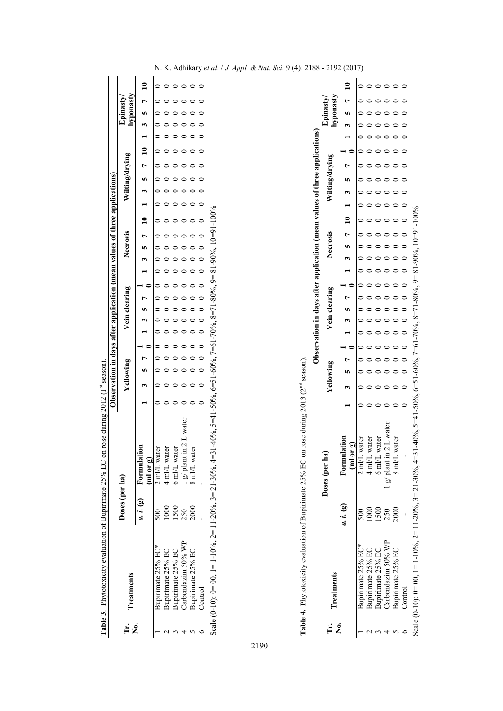|           |                                                                                                                              |                      |                                      |           |  |  |               |  |  |                 | Observation in days after application (mean values of three applications) |  |                |  |                |  |
|-----------|------------------------------------------------------------------------------------------------------------------------------|----------------------|--------------------------------------|-----------|--|--|---------------|--|--|-----------------|---------------------------------------------------------------------------|--|----------------|--|----------------|--|
| F.<br>E 2 | Treatments                                                                                                                   | Doses (per ha)       |                                      | Yellowing |  |  | Vein clearing |  |  | <b>Necrosis</b> |                                                                           |  | Wilting/drying |  | <b>Tastric</b> |  |
|           |                                                                                                                              |                      | $a. i. (g)$ Formulation<br>(ml or g) |           |  |  |               |  |  |                 | $10$ 1 3 5 7 10 1 3 5                                                     |  |                |  |                |  |
|           | Bupirimate 25% EC*                                                                                                           | $\widetilde{\rm SO}$ | ter<br>$2 \text{ m/L}$ wat           |           |  |  |               |  |  |                 |                                                                           |  |                |  |                |  |
|           | Bupirimate 25% EC                                                                                                            |                      | ml/L water                           |           |  |  |               |  |  |                 |                                                                           |  |                |  |                |  |
|           | Bupirimate 25% EC                                                                                                            | 1500                 | 6 ml/L water                         |           |  |  |               |  |  |                 |                                                                           |  |                |  |                |  |
|           | Carbendazim 50% WP                                                                                                           | 250                  | g/ plant in 2 L water                |           |  |  |               |  |  |                 |                                                                           |  |                |  |                |  |
|           | Bupirimate 25% EC                                                                                                            | 2000                 | 8 ml/L water                         |           |  |  |               |  |  |                 |                                                                           |  |                |  |                |  |
|           | Control                                                                                                                      |                      |                                      |           |  |  |               |  |  |                 |                                                                           |  |                |  |                |  |
|           | Scale (0-10): 0= 00, 1= 1-10%, 2= 11-20%, 3= 21-30%, 4=31-40%, 5=41-50%, 6=51-60%, 7=61-70%, 8=71-80%, 9= 81-90%, 10=91-100% |                      |                                      |           |  |  |               |  |  |                 |                                                                           |  |                |  |                |  |

Table 3. Phytotoxicity evaluation of Bupirimate 25% EC on rose during 2012 (1st season). **Table 3.** Phytotoxicity evaluation of Bupirimate 25% EC on rose during 2012 (1<sup>st</sup> season). Table 4. Phytotoxicity evaluation of Bupirimate 25% EC on rose during 2013 (2<sup>nd</sup> season). **Table 4.** Phytotoxicity evaluation of Bupirimate 25% EC on rose during 2013 (2nd season).

|         |                                                                                                                             |           |                                                |           |  |  |               |  |  |          |  |                                   | Observation in days after application (mean values of three applications) |  |                       |  |
|---------|-----------------------------------------------------------------------------------------------------------------------------|-----------|------------------------------------------------|-----------|--|--|---------------|--|--|----------|--|-----------------------------------|---------------------------------------------------------------------------|--|-----------------------|--|
| i<br>⊨e | <b>Treatments</b>                                                                                                           |           | Doses (per ha)                                 | Yellowing |  |  | Vein clearing |  |  | Necrosis |  |                                   | Wilting/drying                                                            |  | hyponasty<br>Epinasty |  |
|         |                                                                                                                             | a. i. (g) | <u>០r ១</u><br>Form<br>$\overline{\mathbf{E}}$ |           |  |  |               |  |  |          |  | $7\frac{1}{2}$ 1 3 5 7 10 1 3 5 7 |                                                                           |  |                       |  |
|         | Bupirimate 25% EC*                                                                                                          |           | 2 ml/L water                                   |           |  |  |               |  |  |          |  |                                   |                                                                           |  |                       |  |
|         | Bupirimate 25% EC                                                                                                           |           | 4 ml/L water                                   |           |  |  |               |  |  |          |  |                                   |                                                                           |  |                       |  |
|         | Bupirimate 25% EC                                                                                                           | 500       | 6 ml/L water                                   |           |  |  |               |  |  |          |  |                                   |                                                                           |  |                       |  |
|         | Carbendazim 50% WP                                                                                                          | 250       | $g$ plant in 2 L water                         |           |  |  |               |  |  |          |  |                                   |                                                                           |  |                       |  |
|         | Bupirimate 25% EC                                                                                                           | 2000      | 8 ml/L water                                   |           |  |  |               |  |  |          |  |                                   |                                                                           |  |                       |  |
|         | Control                                                                                                                     |           |                                                |           |  |  |               |  |  |          |  |                                   |                                                                           |  |                       |  |
|         | Scale (0-10): 0= 00, 1= 1-10%, 2= 11-20%, 3= 21-30%, 4=31-403, 5=41-50%, 6=51-60%, 7=61-70%, 8=71-80%, 9= 81-90%, 10=91-10% |           |                                                |           |  |  |               |  |  |          |  |                                   |                                                                           |  |                       |  |

N. K. Adhikary *et al.* / *J. Appl. & Nat. Sci.* 9 (4): 2188 - 2192 (2017)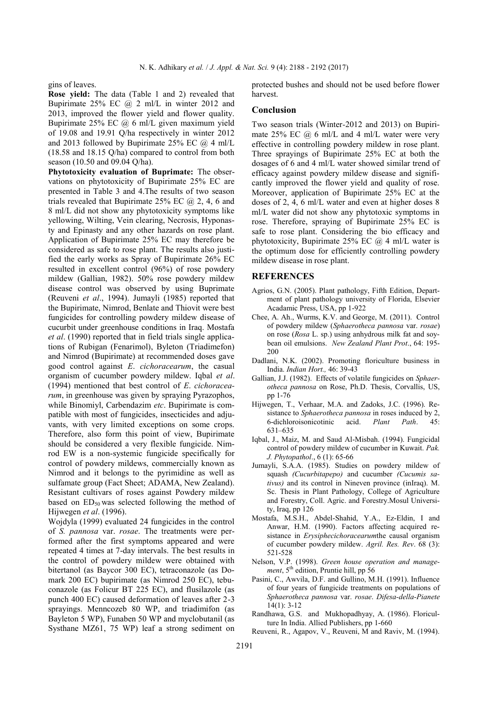gins of leaves.

**Rose yield:** The data (Table 1 and 2) revealed that Bupirimate 25% EC  $\omega$  2 ml/L in winter 2012 and 2013, improved the flower yield and flower quality. Bupirimate 25% EC @ 6 ml/L given maximum yield of 19.08 and 19.91 Q/ha respectively in winter 2012 and 2013 followed by Bupirimate 25% EC  $(a)$  4 ml/L (18.58 and 18.15 Q/ha) compared to control from both season (10.50 and 09.04 Q/ha).

**Phytotoxicity evaluation of Buprimate:** The observations on phytotoxicity of Bupirimate 25% EC are presented in Table 3 and 4.The results of two season trials revealed that Bupirimate  $25\%$  EC  $\omega$ , 2, 4, 6 and 8 ml/L did not show any phytotoxicity symptoms like yellowing, Wilting, Vein clearing, Necrosis, Hyponasty and Epinasty and any other hazards on rose plant. Application of Bupirimate 25% EC may therefore be considered as safe to rose plant. The results also justified the early works as Spray of Bupirimate 26% EC resulted in excellent control (96%) of rose powdery mildew (Gallian, 1982). 50% rose powdery mildew disease control was observed by using Buprimate (Reuveni *et al*., 1994). Jumayli (1985) reported that the Bupirimate, Nimrod, Benlate and Thiovit were best fungicides for controlling powdery mildew disease of cucurbit under greenhouse conditions in Iraq. Mostafa *et al*. (1990) reported that in field trials single applications of Rubigan (Fenarimol), Byleton (Triadimefon) and Nimrod (Bupirimate) at recommended doses gave good control against *E*. *cichoracearum*, the casual organism of cucumber powdery mildew. Iqbal *et al*. (1994) mentioned that best control of *E*. *cichoracearum*, in greenhouse was given by spraying Pyrazophos, while Binomiyl, Carbendazim *etc*. Bupirimate is compatible with most of fungicides, insecticides and adjuvants, with very limited exceptions on some crops. Therefore, also form this point of view, Bupirimate should be considered a very flexible fungicide. Nimrod EW is a non-systemic fungicide specifically for control of powdery mildews, commercially known as Nimrod and it belongs to the pyrimidine as well as sulfamate group (Fact Sheet; ADAMA, New Zealand). Resistant cultivars of roses against Powdery mildew based on  $ED_{50}$  was selected following the method of Hijwegen *et al*. (1996).

Wojdyla (1999) evaluated 24 fungicides in the control of *S. pannosa* var. *rosae*. The treatments were performed after the first symptoms appeared and were repeated 4 times at 7-day intervals. The best results in the control of powdery mildew were obtained with bitertanol (as Baycor 300 EC), tetraconazole (as Domark 200 EC) bupirimate (as Nimrod 250 EC), tebuconazole (as Folicur BT 225 EC), and flusilazole (as punch 400 EC) caused deformation of leaves after 2-3 sprayings. Menncozeb 80 WP, and triadimifon (as Bayleton 5 WP), Funaben 50 WP and myclobutanil (as Systhane MZ61, 75 WP) leaf a strong sediment on protected bushes and should not be used before flower harvest.

#### **Conclusion**

Two season trials (Winter*-*2012 and 2013) on Bupirimate  $25\%$  EC  $\omega$  6 ml/L and 4 ml/L water were very effective in controlling powdery mildew in rose plant. Three sprayings of Bupirimate 25% EC at both the dosages of 6 and 4 ml/L water showed similar trend of efficacy against powdery mildew disease and significantly improved the flower yield and quality of rose. Moreover, application of Bupirimate 25% EC at the doses of 2, 4, 6 ml/L water and even at higher doses 8 ml/L water did not show any phytotoxic symptoms in rose. Therefore, spraying of Bupirimate 25% EC is safe to rose plant. Considering the bio efficacy and phytotoxicity, Bupirimate 25% EC  $(a)$  4 ml/L water is the optimum dose for efficiently controlling powdery mildew disease in rose plant.

#### **REFERENCES**

- Agrios, G.N. (2005). Plant pathology, Fifth Edition, Department of plant pathology university of Florida, Elsevier Acadamic Press, USA, pp 1-922
- Chee, A. Ah., Wurms, K.V. and George, M. (2011). Control of powdery mildew (*Sphaerotheca pannosa* var. *rosae*) on rose (*Rosa* L. sp.) using anhydrous milk fat and soybean oil emulsions. *New Zealand Plant Prot*., 64: 195- 200
- Dadlani, N.K. (2002). Promoting floriculture business in India. *Indian Hort.,* 46: 39-43
- Gallian, J.J. (1982). Effects of volatile fungicides on *Sphaerotheca pannosa* on Rose, Ph.D. Thesis, Corvallis, US, pp 1-76
- Hijwegen, T., Verhaar, M.A. and Zadoks, J.C. (1996). Resistance to *Sphaerotheca pannosa* in roses induced by 2,<br>6-dichloroisonicotinic acid. *Plant Path.* 45: 6-dichloroisonicotinic acid. *Plant Path*. 45: 631–635
- Iqbal, J., Maiz, M. and Saud Al-Misbah. (1994). Fungicidal control of powdery mildew of cucumber in Kuwait. *[Pak.](https://www.google.co.in/url?sa=t&rct=j&q=&esrc=s&source=web&cd=1&cad=rja&uact=8&ved=0ahUKEwiZn_qU0ePOAhULuY8KHa8HCUgQFgggMAA&url=http%3A%2F%2Fpjp.pakps.com%2F&usg=AFQjCNEn2pDZz-mUpJ44jdBTNgakmEpCcQ)  [J. Phytopathol](https://www.google.co.in/url?sa=t&rct=j&q=&esrc=s&source=web&cd=1&cad=rja&uact=8&ved=0ahUKEwiZn_qU0ePOAhULuY8KHa8HCUgQFgggMAA&url=http%3A%2F%2Fpjp.pakps.com%2F&usg=AFQjCNEn2pDZz-mUpJ44jdBTNgakmEpCcQ)*., 6 (1): 65-66
- Jumayli, S.A.A. (1985). Studies on powdery mildew of squash *(Cucurbitapepo)* and cucumber *(Cucumis sativus)* and its control in Nineven province (inIraq). M. Sc. Thesis in Plant Pathology, College of Agriculture and Forestry, Coll. Agric. and Forestry.Mosul University, Iraq, pp 126
- Mostafa, M.S.H., Abdel-Shahid, Y.A., Ez-Eldin, I and Anwar, H.M. (1990). Factors affecting acquired resistance in *Erysiphecichoracearum*the causal organism of cucumber powdery mildew. *Agril. Res. Rev*. 68 (3): 521-528
- Nelson, V.P. (1998). *Green house operation and management*,  $5<sup>th</sup>$  edition, Pruntie hill, pp 56
- Pasini, C., Awvila, D.F. and Gullino, M.H. (1991). Influence of four years of fungicide treatments on populations of *Sphaerotheca pannosa* var. *rosae*. *Difesa-della-Pianete*  14(1): 3-12
- [Randhawa,](https://www.sapnaonline.com/shop/Author/gs-randhawa) G.S. and [Mukhopadhyay,](https://www.sapnaonline.com/shop/Author/a-mukhopadhyay) A. (1986). Floricul[ture In India.](https://www.sapnaonline.com/books/floriculture-in-india-4823786) Allied Publishers, pp 1-660
- Reuveni, R., Agapov, V., Reuveni, M and Raviv, M. (1994).